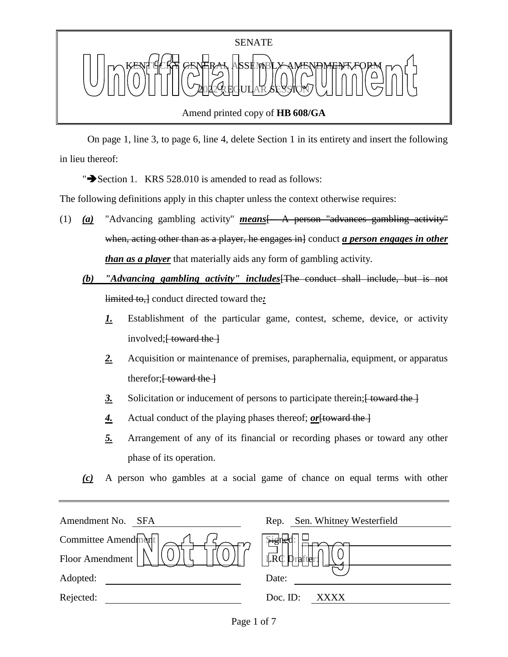

 On page 1, line 3, to page 6, line 4, delete Section 1 in its entirety and insert the following in lieu thereof:

" $\rightarrow$  Section 1. KRS 528.010 is amended to read as follows:

The following definitions apply in this chapter unless the context otherwise requires:

- (1) *(a)* "Advancing gambling activity" *means*[-- A person "advances gambling activity" when, acting other than as a player, he engages in conduct *a person engages in other than as a player* that materially aids any form of gambling activity.
	- *(b) "Advancing gambling activity" includes*[The conduct shall include, but is not limited to,] conduct directed toward the*:*
		- *1.* Establishment of the particular game, contest, scheme, device, or activity involved; $\frac{1}{2}$  toward the  $\frac{1}{2}$
		- *2.* Acquisition or maintenance of premises, paraphernalia, equipment, or apparatus therefor; $\frac{1}{2}$  toward the  $\frac{1}{2}$
		- 3. Solicitation or inducement of persons to participate therein; <del>[ toward the ]</del>
		- 4. Actual conduct of the playing phases thereof; *or* [toward the ]
		- *5.* Arrangement of any of its financial or recording phases or toward any other phase of its operation.
	- *(c)* A person who gambles at a social game of chance on equal terms with other

| Amendment No.<br>SFA | Rep. Sen. Whitney Westerfield       |
|----------------------|-------------------------------------|
| Committee Amendment  | \$igne¦                             |
| Floor Amendment      | $\mathbb{L}R\mathbb{C}$<br>Drafter: |
| Adopted:             | Date:                               |
| Rejected:            | Doc. ID:<br>XXXX                    |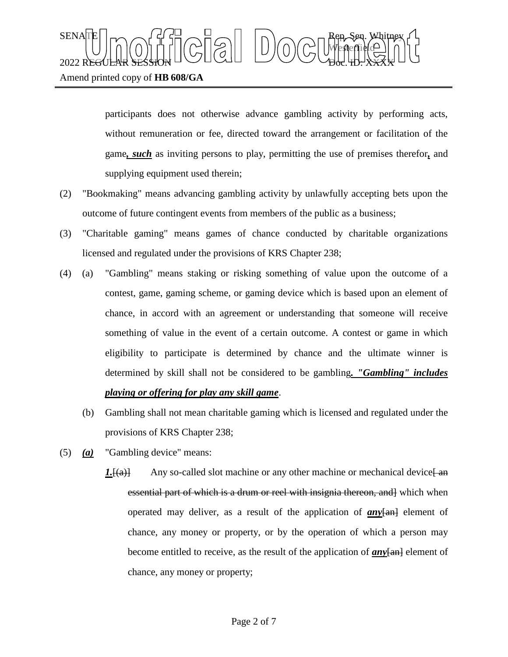## SENATE Rep. Sen. Whitney Westerfield  $2022$  REGULAR SESSION DOLLOURED DO COURT TO CHARLED.  $\chi_{\rm{H}}$ Amend printed copy of **HB 608/GA**

participants does not otherwise advance gambling activity by performing acts, without remuneration or fee, directed toward the arrangement or facilitation of the game*, such* as inviting persons to play, permitting the use of premises therefor*,* and supplying equipment used therein;

- (2) "Bookmaking" means advancing gambling activity by unlawfully accepting bets upon the outcome of future contingent events from members of the public as a business;
- (3) "Charitable gaming" means games of chance conducted by charitable organizations licensed and regulated under the provisions of KRS Chapter 238;
- (4) (a) "Gambling" means staking or risking something of value upon the outcome of a contest, game, gaming scheme, or gaming device which is based upon an element of chance, in accord with an agreement or understanding that someone will receive something of value in the event of a certain outcome. A contest or game in which eligibility to participate is determined by chance and the ultimate winner is determined by skill shall not be considered to be gambling*. "Gambling" includes playing or offering for play any skill game*.
	- (b) Gambling shall not mean charitable gaming which is licensed and regulated under the provisions of KRS Chapter 238;
- (5) *(a)* "Gambling device" means:
	- $1.$  [(a)] Any so-called slot machine or any other machine or mechanical device  $\frac{1}{2}$ essential part of which is a drum or reel with insignia thereon, and which when operated may deliver, as a result of the application of **any**[an] element of chance, any money or property, or by the operation of which a person may become entitled to receive, as the result of the application of *any*[an] element of chance, any money or property;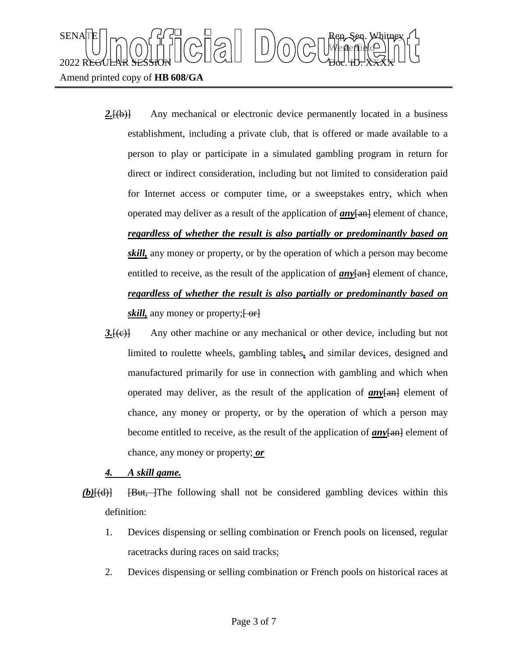

- 2.<del>[(b)]</del> Any mechanical or electronic device permanently located in a business establishment, including a private club, that is offered or made available to a person to play or participate in a simulated gambling program in return for direct or indirect consideration, including but not limited to consideration paid for Internet access or computer time, or a sweepstakes entry, which when operated may deliver as a result of the application of *any*[an] element of chance, *regardless of whether the result is also partially or predominantly based on skill,* any money or property, or by the operation of which a person may become entitled to receive, as the result of the application of  $any$  $[an]$  element of chance, *regardless of whether the result is also partially or predominantly based on skill*, any money or property;  $\left\{ \frac{\partial}{\partial x} \right\}$
- *3.*[(c)] Any other machine or any mechanical or other device, including but not limited to roulette wheels, gambling tables*,* and similar devices, designed and manufactured primarily for use in connection with gambling and which when operated may deliver, as the result of the application of  $any$  $\frac{1}{\tan \theta}$  element of chance, any money or property, or by the operation of which a person may become entitled to receive, as the result of the application of **any**[an] element of chance, any money or property; *or*

## *4. A skill game.*

- *(b)*[(d)] [But, ]The following shall not be considered gambling devices within this definition:
	- 1. Devices dispensing or selling combination or French pools on licensed, regular racetracks during races on said tracks;
	- 2. Devices dispensing or selling combination or French pools on historical races at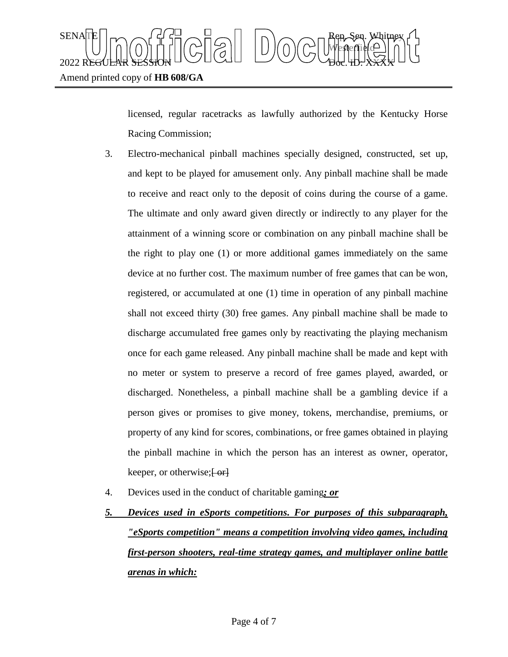

licensed, regular racetracks as lawfully authorized by the Kentucky Horse Racing Commission;

- 3. Electro-mechanical pinball machines specially designed, constructed, set up, and kept to be played for amusement only. Any pinball machine shall be made to receive and react only to the deposit of coins during the course of a game. The ultimate and only award given directly or indirectly to any player for the attainment of a winning score or combination on any pinball machine shall be the right to play one (1) or more additional games immediately on the same device at no further cost. The maximum number of free games that can be won, registered, or accumulated at one (1) time in operation of any pinball machine shall not exceed thirty (30) free games. Any pinball machine shall be made to discharge accumulated free games only by reactivating the playing mechanism once for each game released. Any pinball machine shall be made and kept with no meter or system to preserve a record of free games played, awarded, or discharged. Nonetheless, a pinball machine shall be a gambling device if a person gives or promises to give money, tokens, merchandise, premiums, or property of any kind for scores, combinations, or free games obtained in playing the pinball machine in which the person has an interest as owner, operator, keeper, or otherwise; [ or]
- 4. Devices used in the conduct of charitable gaming*; or*
- *5. Devices used in eSports competitions. For purposes of this subparagraph, "eSports competition" means a competition involving video games, including first-person shooters, real-time strategy games, and multiplayer online battle arenas in which:*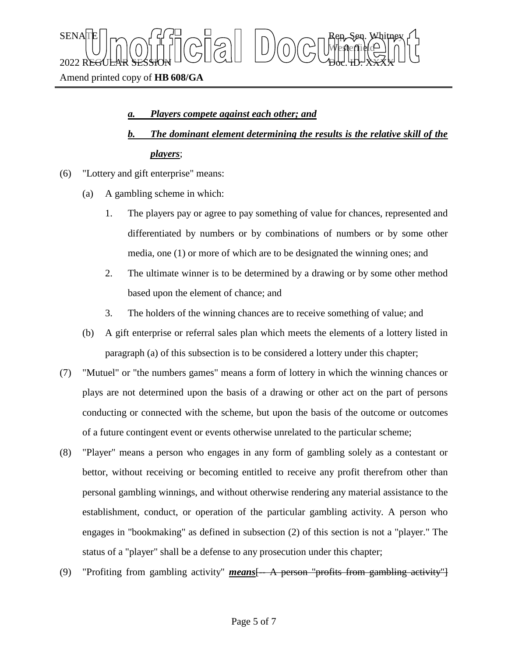SENATE Rep. Sen. Whitney Westerfield  $2022$  REGULAR SESSION DOLLOURED DO COURT TO CHARLED.  $\chi_{\rm{H}}$ Amend printed copy of **HB 608/GA**

## *a. Players compete against each other; and*

- *b. The dominant element determining the results is the relative skill of the players*;
- (6) "Lottery and gift enterprise" means:
	- (a) A gambling scheme in which:
		- 1. The players pay or agree to pay something of value for chances, represented and differentiated by numbers or by combinations of numbers or by some other media, one (1) or more of which are to be designated the winning ones; and
		- 2. The ultimate winner is to be determined by a drawing or by some other method based upon the element of chance; and
		- 3. The holders of the winning chances are to receive something of value; and
	- (b) A gift enterprise or referral sales plan which meets the elements of a lottery listed in paragraph (a) of this subsection is to be considered a lottery under this chapter;
- (7) "Mutuel" or "the numbers games" means a form of lottery in which the winning chances or plays are not determined upon the basis of a drawing or other act on the part of persons conducting or connected with the scheme, but upon the basis of the outcome or outcomes of a future contingent event or events otherwise unrelated to the particular scheme;
- (8) "Player" means a person who engages in any form of gambling solely as a contestant or bettor, without receiving or becoming entitled to receive any profit therefrom other than personal gambling winnings, and without otherwise rendering any material assistance to the establishment, conduct, or operation of the particular gambling activity. A person who engages in "bookmaking" as defined in subsection (2) of this section is not a "player." The status of a "player" shall be a defense to any prosecution under this chapter;
- (9) "Profiting from gambling activity" *means* [- A person "profits from gambling activity"]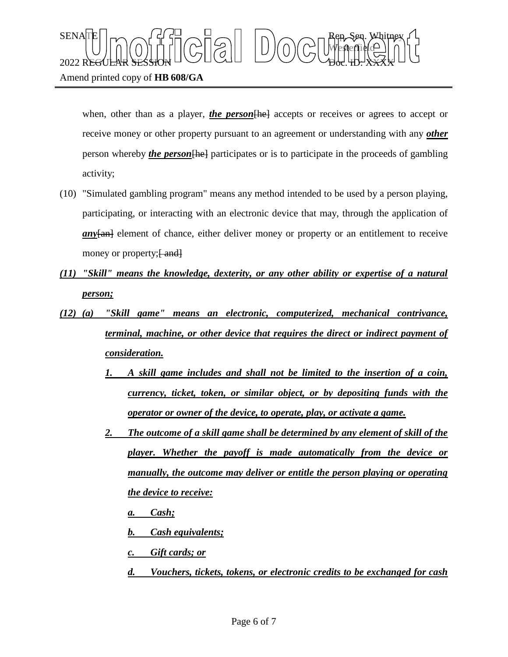

Amend printed copy of **HB 608/GA**

when, other than as a player, *the person* [he] accepts or receives or agrees to accept or receive money or other property pursuant to an agreement or understanding with any *other* person whereby *the person*[he] participates or is to participate in the proceeds of gambling activity;

- (10) "Simulated gambling program" means any method intended to be used by a person playing, participating, or interacting with an electronic device that may, through the application of *any*[an] element of chance, either deliver money or property or an entitlement to receive money or property; [ and]
- *(11) "Skill" means the knowledge, dexterity, or any other ability or expertise of a natural person;*
- *(12) (a) "Skill game" means an electronic, computerized, mechanical contrivance, terminal, machine, or other device that requires the direct or indirect payment of consideration.* 
	- *1. A skill game includes and shall not be limited to the insertion of a coin, currency, ticket, token, or similar object, or by depositing funds with the operator or owner of the device, to operate, play, or activate a game.*
	- *2. The outcome of a skill game shall be determined by any element of skill of the player. Whether the payoff is made automatically from the device or manually, the outcome may deliver or entitle the person playing or operating the device to receive:*
		- *a. Cash;*
		- *b. Cash equivalents;*
		- *c. Gift cards; or*
		- *d. Vouchers, tickets, tokens, or electronic credits to be exchanged for cash*